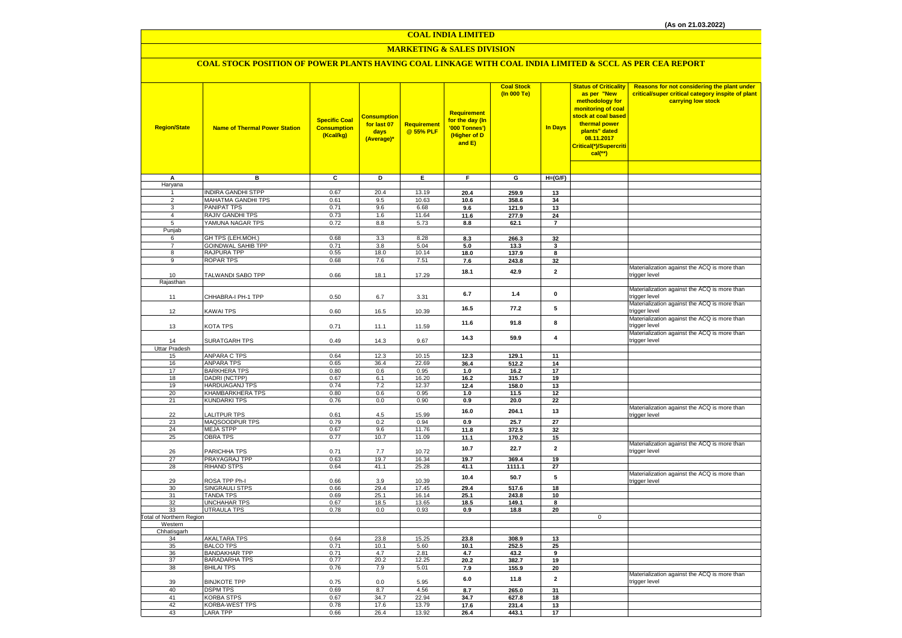#### **COAL INDIA LIMITED**

### **MARKETING & SALES DIVISION**

### **COAL STOCK POSITION OF POWER PLANTS HAVING COAL LINKAGE WITH COAL INDIA LIMITED & SCCL AS PER CEA REPORT**

| <b>Region/State</b>             | <b>Name of Thermal Power Station</b>     | <b>Specific Coal</b><br><b>Consumption</b><br>(Kcal/kg) | <b>Consumption</b><br>for last 07<br>days<br>(Average)* | Requirement<br>@ 55% PLF | <b>Requirement</b><br>for the day (In<br>'000 Tonnes')<br>(Higher of D<br>and E) | <b>Coal Stock</b><br>(In 000 Te) | <b>In Days</b>          | <b>Status of Criticality</b><br>as per "New<br>methodology for<br>monitoring of coal<br>stock at coal based<br>thermal power<br>plants" dated<br>08.11.2017<br>Critical(*)/Supercriti<br>$cal$ (**) | Reasons for not considering the plant under<br>critical/super critical category inspite of plant<br>carrying low stock |
|---------------------------------|------------------------------------------|---------------------------------------------------------|---------------------------------------------------------|--------------------------|----------------------------------------------------------------------------------|----------------------------------|-------------------------|-----------------------------------------------------------------------------------------------------------------------------------------------------------------------------------------------------|------------------------------------------------------------------------------------------------------------------------|
|                                 |                                          |                                                         |                                                         |                          |                                                                                  |                                  |                         |                                                                                                                                                                                                     |                                                                                                                        |
| A                               | $\overline{B}$                           | $\overline{\mathbf{c}}$                                 | ъ                                                       | Έ                        | F                                                                                | G                                | $H=(G/F)$               |                                                                                                                                                                                                     |                                                                                                                        |
| Haryana                         |                                          |                                                         |                                                         |                          |                                                                                  |                                  |                         |                                                                                                                                                                                                     |                                                                                                                        |
| $\overline{1}$                  | <b>INDIRA GANDHI STPP</b>                | 0.67                                                    | 20.4                                                    | 13.19                    | 20.4                                                                             | 259.9                            | 13                      |                                                                                                                                                                                                     |                                                                                                                        |
| $\overline{2}$<br>3             | <b>MAHATMA GANDHI TPS</b>                | 0.61                                                    | 9.5                                                     | 10.63                    | 10.6                                                                             | 358.6                            | 34                      |                                                                                                                                                                                                     |                                                                                                                        |
| 4                               | PANIPAT TPS<br><b>RAJIV GANDHI TPS</b>   | 0.71<br>0.73                                            | 9.6<br>1.6                                              | 6.68<br>11.64            | 9.6                                                                              | 121.9<br>277.9                   | 13                      |                                                                                                                                                                                                     |                                                                                                                        |
| 5                               | YAMUNA NAGAR TPS                         | 0.72                                                    | 8.8                                                     | 5.73                     | 11.6<br>8.8                                                                      | 62.1                             | 24<br>$\overline{7}$    |                                                                                                                                                                                                     |                                                                                                                        |
| Punjab                          |                                          |                                                         |                                                         |                          |                                                                                  |                                  |                         |                                                                                                                                                                                                     |                                                                                                                        |
| 6                               | GH TPS (LEH.MOH.)                        | 0.68                                                    | 3.3                                                     | 8.28                     | 8.3                                                                              | 266.3                            | 32                      |                                                                                                                                                                                                     |                                                                                                                        |
| $\overline{7}$                  | <b>GOINDWAL SAHIB TPP</b>                | 0.71                                                    | 3.8                                                     | 5.04                     | 5.0                                                                              | 13.3                             | 3                       |                                                                                                                                                                                                     |                                                                                                                        |
| 8                               | RAJPURA TPP                              | 0.55                                                    | 18.0                                                    | 10.14                    | 18.0                                                                             | 137.9                            | 8                       |                                                                                                                                                                                                     |                                                                                                                        |
| 9                               | ROPAR TPS                                | 0.68                                                    | 7.6                                                     | 7.51                     | 7.6                                                                              | 243.8                            | 32                      |                                                                                                                                                                                                     |                                                                                                                        |
|                                 |                                          |                                                         |                                                         |                          |                                                                                  |                                  |                         |                                                                                                                                                                                                     | Materialization against the ACQ is more than                                                                           |
| 10                              | TALWANDI SABO TPP                        | 0.66                                                    | 18.1                                                    | 17.29                    | 18.1                                                                             | 42.9                             | $\mathbf{2}$            |                                                                                                                                                                                                     | trigger level                                                                                                          |
| Rajasthan                       |                                          |                                                         |                                                         |                          |                                                                                  |                                  |                         |                                                                                                                                                                                                     |                                                                                                                        |
|                                 |                                          |                                                         |                                                         |                          | 6.7                                                                              | $1.4$                            | $\pmb{0}$               |                                                                                                                                                                                                     | Materialization against the ACQ is more than                                                                           |
| 11                              | CHHABRA-I PH-1 TPP                       | 0.50                                                    | 6.7                                                     | 3.31                     |                                                                                  |                                  |                         |                                                                                                                                                                                                     | trigger level<br>Materialization against the ACQ is more than                                                          |
| 12                              | <b>KAWAI TPS</b>                         | 0.60                                                    | 16.5                                                    | 10.39                    | 16.5                                                                             | 77.2                             | 5                       |                                                                                                                                                                                                     | trigger level                                                                                                          |
|                                 |                                          |                                                         |                                                         |                          |                                                                                  |                                  |                         |                                                                                                                                                                                                     | Materialization against the ACQ is more than                                                                           |
| 13                              | KOTA TPS                                 | 0.71                                                    | 11.1                                                    | 11.59                    | 11.6                                                                             | 91.8                             | 8                       |                                                                                                                                                                                                     | trigger level                                                                                                          |
|                                 |                                          |                                                         |                                                         |                          |                                                                                  |                                  |                         |                                                                                                                                                                                                     | Materialization against the ACQ is more than                                                                           |
| 14                              | SURATGARH TPS                            | 0.49                                                    | 14.3                                                    | 9.67                     | 14.3                                                                             | 59.9                             | $\overline{\mathbf{4}}$ |                                                                                                                                                                                                     | trigger level                                                                                                          |
| <b>Uttar Pradesh</b>            |                                          |                                                         |                                                         |                          |                                                                                  |                                  |                         |                                                                                                                                                                                                     |                                                                                                                        |
| 15                              | ANPARA C TPS                             | 0.64                                                    | 12.3                                                    | 10.15                    | 12.3                                                                             | 129.1                            | 11                      |                                                                                                                                                                                                     |                                                                                                                        |
| 16                              | <b>ANPARA TPS</b>                        | 0.65                                                    | 36.4                                                    | 22.69                    | 36.4                                                                             | 512.2                            | 14                      |                                                                                                                                                                                                     |                                                                                                                        |
| 17                              | <b>BARKHERA TPS</b>                      | 0.80                                                    | 0.6                                                     | 0.95                     | 1.0                                                                              | 16.2                             | 17                      |                                                                                                                                                                                                     |                                                                                                                        |
| 18                              | DADRI (NCTPP)                            | 0.67                                                    | 6.1                                                     | 16.20                    | 16.2                                                                             | 315.7                            | 19                      |                                                                                                                                                                                                     |                                                                                                                        |
| 19                              | <b>HARDUAGANJ TPS</b>                    | 0.74                                                    | 7.2                                                     | 12.37                    | 12.4                                                                             | 158.0                            | 13                      |                                                                                                                                                                                                     |                                                                                                                        |
| 20                              | KHAMBARKHERA TPS                         | 0.80                                                    | 0.6                                                     | 0.95                     | 1.0                                                                              | 11.5                             | 12                      |                                                                                                                                                                                                     |                                                                                                                        |
| 21                              | <b>KUNDARKI TPS</b>                      | 0.76                                                    | 0.0                                                     | 0.90                     | 0.9                                                                              | 20.0                             | 22                      |                                                                                                                                                                                                     | Materialization against the ACQ is more than                                                                           |
| 22                              | <b>LALITPUR TPS</b>                      | 0.61                                                    | 4.5                                                     | 15.99                    | 16.0                                                                             | 204.1                            | 13                      |                                                                                                                                                                                                     | trigger level                                                                                                          |
| 23                              | MAQSOODPUR TPS                           | 0.79                                                    | 0.2                                                     | 0.94                     | 0.9                                                                              | 25.7                             | 27                      |                                                                                                                                                                                                     |                                                                                                                        |
| 24                              | <b>MEJA STPP</b>                         | 0.67                                                    | 9.6                                                     | 11.76                    | 11.8                                                                             | 372.5                            | 32                      |                                                                                                                                                                                                     |                                                                                                                        |
| 25                              | <b>OBRA TPS</b>                          | 0.77                                                    | 10.7                                                    | 11.09                    | 11.1                                                                             | 170.2                            | 15                      |                                                                                                                                                                                                     |                                                                                                                        |
|                                 |                                          |                                                         |                                                         |                          |                                                                                  |                                  |                         |                                                                                                                                                                                                     | Materialization against the ACQ is more than                                                                           |
| 26                              | PARICHHA TPS                             | 0.71                                                    | 7.7                                                     | 10.72                    | 10.7                                                                             | 22.7                             | $\overline{\mathbf{2}}$ |                                                                                                                                                                                                     | trigger level                                                                                                          |
| 27                              | PRAYAGRAJ TPP                            | 0.63                                                    | 19.7                                                    | 16.34                    | 19.7                                                                             | 369.4                            | 19                      |                                                                                                                                                                                                     |                                                                                                                        |
| 28                              | <b>RIHAND STPS</b>                       | 0.64                                                    | 41.1                                                    | 25.28                    | 41.1                                                                             | 1111.1                           | 27                      |                                                                                                                                                                                                     |                                                                                                                        |
|                                 |                                          |                                                         |                                                         |                          | 10.4                                                                             | 50.7                             | 5                       |                                                                                                                                                                                                     | Materialization against the ACQ is more than                                                                           |
| 29<br>30                        | ROSA TPP Ph-I<br><b>SINGRAULI STPS</b>   | 0.66<br>0.66                                            | 3.9<br>29.4                                             | 10.39<br>17.45           | 29.4                                                                             | 517.6                            | 18                      |                                                                                                                                                                                                     | trigger level                                                                                                          |
| 31                              | <b>TANDA TPS</b>                         | 0.69                                                    | 25.1                                                    | 16.14                    | 25.1                                                                             | 243.8                            | 10                      |                                                                                                                                                                                                     |                                                                                                                        |
| 32                              | <b>UNCHAHAR TPS</b>                      | 0.67                                                    | 18.5                                                    | 13.65                    | 18.5                                                                             | 149.1                            | 8                       |                                                                                                                                                                                                     |                                                                                                                        |
| 33                              | <b>UTRAULA TPS</b>                       | 0.78                                                    | $0.0\,$                                                 | 0.93                     | 0.9                                                                              | 18.8                             | 20                      |                                                                                                                                                                                                     |                                                                                                                        |
| <b>Total of Northern Region</b> |                                          |                                                         |                                                         |                          |                                                                                  |                                  |                         | $\mathbf 0$                                                                                                                                                                                         |                                                                                                                        |
| Western                         |                                          |                                                         |                                                         |                          |                                                                                  |                                  |                         |                                                                                                                                                                                                     |                                                                                                                        |
| Chhatisgarh                     |                                          |                                                         |                                                         |                          |                                                                                  |                                  |                         |                                                                                                                                                                                                     |                                                                                                                        |
| 34                              | AKALTARA TPS                             | 0.64                                                    | 23.8                                                    | 15.25                    | 23.8                                                                             | 308.9                            | 13                      |                                                                                                                                                                                                     |                                                                                                                        |
| 35<br>36                        | <b>BALCO TPS</b><br><b>BANDAKHAR TPP</b> | 0.71<br>0.71                                            | 10.1<br>4.7                                             | 5.60<br>2.81             | 10.1<br>4.7                                                                      | 252.5<br>43.2                    | 25<br>$\overline{9}$    |                                                                                                                                                                                                     |                                                                                                                        |
| 37                              | <b>BARADARHA TPS</b>                     | 0.77                                                    | 20.2                                                    | 12.25                    | 20.2                                                                             | 382.7                            | 19                      |                                                                                                                                                                                                     |                                                                                                                        |
| 38                              | <b>BHILAI TPS</b>                        | 0.76                                                    | 7.9                                                     | 5.01                     | 7.9                                                                              | 155.9                            | 20                      |                                                                                                                                                                                                     |                                                                                                                        |
|                                 |                                          |                                                         |                                                         |                          |                                                                                  |                                  |                         |                                                                                                                                                                                                     | Materialization against the ACQ is more than                                                                           |
| 39                              | <b>BINJKOTE TPP</b>                      | 0.75                                                    | 0.0                                                     | 5.95                     | 6.0                                                                              | 11.8                             | $\overline{2}$          |                                                                                                                                                                                                     | trigger level                                                                                                          |
| 40                              | <b>DSPM TPS</b>                          | 0.69                                                    | 8.7                                                     | 4.56                     | 8.7                                                                              | 265.0                            | 31                      |                                                                                                                                                                                                     |                                                                                                                        |
| 41                              | <b>KORBA STPS</b>                        | 0.67                                                    | 34.7                                                    | 22.94                    | 34.7                                                                             | 627.8                            | 18                      |                                                                                                                                                                                                     |                                                                                                                        |
| 42                              | <b>KORBA-WEST TPS</b>                    | 0.78                                                    | 17.6                                                    | 13.79                    | 17.6                                                                             | 231.4                            | 13                      |                                                                                                                                                                                                     |                                                                                                                        |
| 43                              | <b>LARA TPP</b>                          | 0.66                                                    | 26.4                                                    | 13.92                    | 26.4                                                                             | 443.1                            | 17                      |                                                                                                                                                                                                     |                                                                                                                        |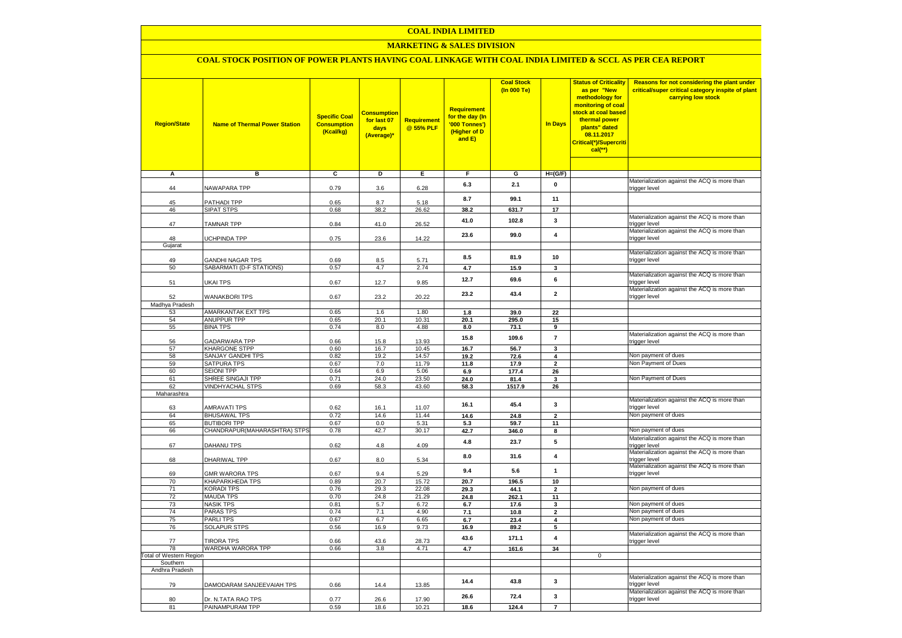### **COAL INDIA LIMITED**

## **MARKETING & SALES DIVISION**

# **COAL STOCK POSITION OF POWER PLANTS HAVING COAL LINKAGE WITH COAL INDIA LIMITED & SCCL AS PER CEA REPORT**

| <b>Region/State</b>                        | <b>Name of Thermal Power Station</b>         | <b>Specific Coal</b><br><b>Consumption</b><br>(Kcal/kg) | <u>Consumption</u><br>for last 07<br>days<br>(Average)* | Requirement<br>@ 55% PLF | Requirement<br>for the day (In<br>'000 Tonnes')<br>(Higher of D<br>and E) | <b>Coal Stock</b><br>(In 000 Te) | <b>In Days</b>          | <b>Status of Criticality</b><br>as per "New<br>methodology for<br>monitoring of coal<br>stock at coal based<br>thermal power<br>plants" dated<br>08.11.2017<br>Critical(*)/Supercriti<br>$cal$ (**) | Reasons for not considering the plant under<br>critical/super critical category inspite of plant<br>carrying low stock |
|--------------------------------------------|----------------------------------------------|---------------------------------------------------------|---------------------------------------------------------|--------------------------|---------------------------------------------------------------------------|----------------------------------|-------------------------|-----------------------------------------------------------------------------------------------------------------------------------------------------------------------------------------------------|------------------------------------------------------------------------------------------------------------------------|
| Α                                          | в                                            | c                                                       | Þ                                                       | Е                        | $\overline{F}$                                                            | G                                | $H=(G/F)$               |                                                                                                                                                                                                     |                                                                                                                        |
| 44                                         | NAWAPARA TPP                                 | 0.79                                                    | 3.6                                                     | 6.28                     | 6.3                                                                       | 2.1                              | 0                       |                                                                                                                                                                                                     | Materialization against the ACQ is more than<br>trigger level                                                          |
| 45                                         | PATHADI TPP                                  | 0.65                                                    | 8.7                                                     | 5.18                     | 8.7                                                                       | 99.1                             | 11                      |                                                                                                                                                                                                     |                                                                                                                        |
| 46                                         | <b>SIPAT STPS</b>                            | 0.68                                                    | 38.2                                                    | 26.62                    | 38.2                                                                      | 631.7                            | 17                      |                                                                                                                                                                                                     |                                                                                                                        |
| 47                                         | <b>TAMNAR TPP</b>                            | 0.84                                                    | 41.0                                                    | 26.52                    | 41.0                                                                      | 102.8                            | 3                       |                                                                                                                                                                                                     | Materialization against the ACQ is more than<br>trigger level                                                          |
| 48<br>Gujarat                              | UCHPINDA TPP                                 | 0.75                                                    | 23.6                                                    | 14.22                    | 23.6                                                                      | 99.0                             | 4                       |                                                                                                                                                                                                     | Materialization against the ACQ is more than<br>trigger level                                                          |
|                                            |                                              |                                                         |                                                         |                          |                                                                           |                                  |                         |                                                                                                                                                                                                     | Materialization against the ACQ is more than                                                                           |
| 49<br>50                                   | GANDHI NAGAR TPS<br>SABARMATI (D-F STATIONS) | 0.69<br>0.57                                            | 8.5<br>4.7                                              | 5.71<br>2.74             | 8.5<br>4.7                                                                | 81.9                             | 10                      |                                                                                                                                                                                                     | trigger level                                                                                                          |
|                                            |                                              |                                                         |                                                         |                          |                                                                           | 15.9                             | 3                       |                                                                                                                                                                                                     | Materialization against the ACQ is more than                                                                           |
| 51                                         | UKAI TPS                                     | 0.67                                                    | 12.7                                                    | 9.85                     | 12.7                                                                      | 69.6                             | 6                       |                                                                                                                                                                                                     | trigger level<br>Materialization against the ACQ is more than                                                          |
| 52                                         | <b>WANAKBORI TPS</b>                         | 0.67                                                    | 23.2                                                    | 20.22                    | 23.2                                                                      | 43.4                             | $\overline{2}$          |                                                                                                                                                                                                     | trigger level                                                                                                          |
| Madhya Pradesh                             |                                              |                                                         |                                                         |                          |                                                                           |                                  |                         |                                                                                                                                                                                                     |                                                                                                                        |
| 53<br>54                                   | AMARKANTAK EXT TPS<br><b>ANUPPUR TPP</b>     | 0.65<br>0.65                                            | 1.6<br>20.1                                             | 1.80<br>10.31            | 1.8<br>20.1                                                               | 39.0<br>295.0                    | 22<br>15                |                                                                                                                                                                                                     |                                                                                                                        |
| 55                                         | <b>BINA TPS</b>                              | 0.74                                                    | 8.0                                                     | 4.88                     | 8.0                                                                       | 73.1                             | 9                       |                                                                                                                                                                                                     |                                                                                                                        |
| 56                                         | <b>GADARWARA TPP</b>                         | 0.66                                                    | 15.8                                                    | 13.93                    | 15.8                                                                      | 109.6                            | $\overline{7}$          |                                                                                                                                                                                                     | Materialization against the ACQ is more than<br>trigger level                                                          |
| 57                                         | <b>KHARGONE STPP</b>                         | 0.60                                                    | 16.7                                                    | 10.45                    | 16.7                                                                      | 56.7                             | $\mathbf{3}$            |                                                                                                                                                                                                     |                                                                                                                        |
| 58                                         | <b>SANJAY GANDHI TPS</b>                     | 0.82                                                    | 19.2                                                    | 14.57                    | 19.2                                                                      | 72.6                             | $\overline{\mathbf{4}}$ |                                                                                                                                                                                                     | Non payment of dues                                                                                                    |
| 59                                         | SATPURA TPS                                  | 0.67                                                    | 7.0                                                     | 11.79                    | 11.8                                                                      | 17.9                             | $\mathbf{2}$            |                                                                                                                                                                                                     | Non Payment of Dues                                                                                                    |
| 60                                         | SEIONI TPP                                   | 0.64                                                    | 6.9                                                     | 5.06                     | 6.9                                                                       | 177.4                            | 26                      |                                                                                                                                                                                                     |                                                                                                                        |
| 61<br>62                                   | SHREE SINGAJI TPP<br><b>VINDHYACHAL STPS</b> | 0.71<br>0.69                                            | 24.0<br>58.3                                            | 23.50<br>43.60           | 24.0<br>58.3                                                              | 81.4<br>1517.9                   | 3<br>26                 |                                                                                                                                                                                                     | Non Payment of Dues                                                                                                    |
| Maharashtra                                |                                              |                                                         |                                                         |                          |                                                                           |                                  |                         |                                                                                                                                                                                                     |                                                                                                                        |
| 63                                         | <b>AMRAVATI TPS</b>                          | 0.62                                                    | 16.1                                                    | 11.07                    | 16.1                                                                      | 45.4                             | 3                       |                                                                                                                                                                                                     | Materialization against the ACQ is more than<br>trigger level                                                          |
| 64                                         | <b>BHUSAWAL TPS</b>                          | 0.72                                                    | 14.6                                                    | 11.44                    | 14.6                                                                      | 24.8                             | $\overline{\mathbf{2}}$ |                                                                                                                                                                                                     | Non payment of dues                                                                                                    |
| 65                                         | <b>BUTIBORI TPP</b>                          | 0.67                                                    | 0.0                                                     | 5.31                     | 5.3                                                                       | 59.7                             | 11                      |                                                                                                                                                                                                     |                                                                                                                        |
| 66                                         | CHANDRAPUR(MAHARASHTRA) STPS                 | 0.78                                                    | 42.7                                                    | 30.17                    | 42.7                                                                      | 346.0                            | 8                       |                                                                                                                                                                                                     | Non payment of dues                                                                                                    |
| 67                                         | DAHANU TPS                                   | 0.62                                                    | $4.8\,$                                                 | 4.09                     | 4.8                                                                       | 23.7                             | 5                       |                                                                                                                                                                                                     | Materialization against the ACQ is more than<br>trigger level                                                          |
| 68                                         | DHARIWAL TPP                                 | 0.67                                                    | 8.0                                                     | 5.34                     | 8.0                                                                       | 31.6                             | $\overline{\mathbf{4}}$ |                                                                                                                                                                                                     | Materialization against the ACQ is more than<br>rigger level                                                           |
| 69                                         | <b>GMR WARORA TPS</b>                        | 0.67                                                    | 9.4                                                     | 5.29                     | 9.4                                                                       | 5.6                              | 1                       |                                                                                                                                                                                                     | Materialization against the ACQ is more than<br>rigger level                                                           |
| 70                                         | KHAPARKHEDA TPS                              | 0.89                                                    | 20.7                                                    | 15.72                    | 20.7                                                                      | 196.5                            | 10                      |                                                                                                                                                                                                     |                                                                                                                        |
| 71<br>$\overline{72}$                      | <b>KORADI TPS</b><br><b>MAUDA TPS</b>        | 0.76<br>0.70                                            | 29.3<br>24.8                                            | 22.08<br>21.29           | 29.3<br>24.8                                                              | 44.1<br>262.1                    | $\mathbf{2}$<br>11      |                                                                                                                                                                                                     | Non payment of dues                                                                                                    |
| 73                                         | <b>NASIK TPS</b>                             | 0.81                                                    | 5.7                                                     | 6.72                     | 6.7                                                                       | 17.6                             | 3                       |                                                                                                                                                                                                     | Non payment of dues                                                                                                    |
| 74                                         | <b>PARAS TPS</b>                             | 0.74                                                    | 7.1                                                     | 4.90                     | 7.1                                                                       | 10.8                             | $\mathbf{2}$            |                                                                                                                                                                                                     | Non payment of dues                                                                                                    |
| 75                                         | PARLI TPS                                    | 0.67                                                    | 6.7                                                     | 6.65                     | 6.7                                                                       | 23.4                             | 4                       |                                                                                                                                                                                                     | Non payment of dues                                                                                                    |
| 76                                         | <b>SOLAPUR STPS</b>                          | 0.56                                                    | 16.9                                                    | 9.73                     | 16.9                                                                      | 89.2                             | 5                       |                                                                                                                                                                                                     |                                                                                                                        |
| 77                                         | <b>TIRORA TPS</b>                            | 0.66                                                    | 43.6                                                    | 28.73                    | 43.6                                                                      | 171.1                            | $\overline{\mathbf{4}}$ |                                                                                                                                                                                                     | Materialization against the ACQ is more than<br>trigger level                                                          |
| 78                                         | WARDHA WARORA TPP                            | 0.66                                                    | 3.8                                                     | 4.71                     | 4.7                                                                       | 161.6                            | 34                      |                                                                                                                                                                                                     |                                                                                                                        |
| <b>Total of Western Region</b><br>Southern |                                              |                                                         |                                                         |                          |                                                                           |                                  |                         | $\mathbf 0$                                                                                                                                                                                         |                                                                                                                        |
| Andhra Pradesh                             |                                              |                                                         |                                                         |                          |                                                                           |                                  |                         |                                                                                                                                                                                                     |                                                                                                                        |
| 79                                         | DAMODARAM SANJEEVAIAH TPS                    | 0.66                                                    | 14.4                                                    | 13.85                    | 14.4                                                                      | 43.8                             | 3                       |                                                                                                                                                                                                     | Materialization against the ACQ is more than<br>rigger level                                                           |
| 80                                         | Dr. N.TATA RAO TPS                           | 0.77                                                    | 26.6                                                    | 17.90                    | 26.6                                                                      | 72.4                             | 3                       |                                                                                                                                                                                                     | Materialization against the ACQ is more than<br>trigger level                                                          |
| 81                                         | PAINAMPURAM TPP                              | 0.59                                                    | 18.6                                                    | 10.21                    | 18.6                                                                      | 124.4                            | $\overline{7}$          |                                                                                                                                                                                                     |                                                                                                                        |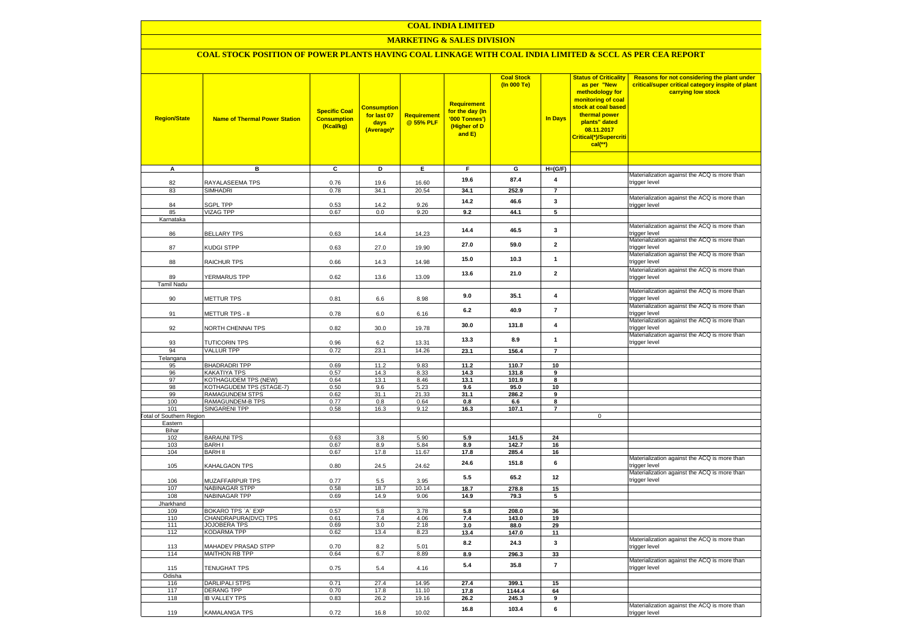### **COAL INDIA LIMITED**

### **MARKETING & SALES DIVISION**

### **COAL STOCK POSITION OF POWER PLANTS HAVING COAL LINKAGE WITH COAL INDIA LIMITED & SCCL AS PER CEA REPORT**

| <b>Region/State</b>             | <b>Name of Thermal Power Station</b>        | <b>Specific Coal</b><br><b>Consumption</b><br>(Kcal/kg) | <b>Consumptior</b><br>for last 07<br>days<br>(Average)* | Requirement<br>@ 55% PLF | <b>Requirement</b><br>for the day (In<br>'000 Tonnes')<br>(Higher of D<br>and E) | <b>Coal Stock</b><br>(In 000 Te) | <b>In Days</b>          | <b>Status of Criticality</b><br>as per "New<br>methodology for<br>monitoring of coal<br>stock at coal based<br>thermal power<br>plants" dated<br>08.11.2017<br>Critical(*)/Supercriti<br>$cal$ (**) | Reasons for not considering the plant under<br>critical/super critical category inspite of plant<br>carrying low stock |
|---------------------------------|---------------------------------------------|---------------------------------------------------------|---------------------------------------------------------|--------------------------|----------------------------------------------------------------------------------|----------------------------------|-------------------------|-----------------------------------------------------------------------------------------------------------------------------------------------------------------------------------------------------|------------------------------------------------------------------------------------------------------------------------|
| Α                               | в                                           | c                                                       | D                                                       | Е.                       | F.                                                                               | G                                | $H=(G/F)$               |                                                                                                                                                                                                     |                                                                                                                        |
|                                 |                                             |                                                         |                                                         |                          |                                                                                  |                                  |                         |                                                                                                                                                                                                     | Materialization against the ACQ is more than                                                                           |
| 82                              | RAYALASEEMA TPS                             | 0.76                                                    | 19.6                                                    | 16.60                    | 19.6                                                                             | 87.4                             | 4                       |                                                                                                                                                                                                     | trigger level                                                                                                          |
| 83                              | <b>SIMHADRI</b>                             | 0.78                                                    | 34.1                                                    | 20.54                    | 34.1                                                                             | 252.9                            | $\overline{7}$          |                                                                                                                                                                                                     |                                                                                                                        |
|                                 |                                             |                                                         |                                                         |                          | 14.2                                                                             | 46.6                             | 3                       |                                                                                                                                                                                                     | Materialization against the ACQ is more than                                                                           |
| 84<br>85                        | <b>SGPL TPP</b><br><b>VIZAG TPP</b>         | 0.53<br>0.67                                            | 14.2<br>0.0                                             | 9.26<br>9.20             | 9.2                                                                              | 44.1                             | 5                       |                                                                                                                                                                                                     | trigger level                                                                                                          |
| Karnataka                       |                                             |                                                         |                                                         |                          |                                                                                  |                                  |                         |                                                                                                                                                                                                     |                                                                                                                        |
|                                 |                                             |                                                         |                                                         |                          |                                                                                  |                                  |                         |                                                                                                                                                                                                     | Materialization against the ACQ is more than                                                                           |
| 86                              | <b>BELLARY TPS</b>                          | 0.63                                                    | 14.4                                                    | 14.23                    | 14.4                                                                             | 46.5                             | 3                       |                                                                                                                                                                                                     | trigger level                                                                                                          |
| 87                              | KUDGI STPP                                  | 0.63                                                    | 27.0                                                    | 19.90                    | 27.0                                                                             | 59.0                             | $\mathbf{2}$            |                                                                                                                                                                                                     | Materialization against the ACQ is more than<br>trigger level                                                          |
| 88                              | RAICHUR TPS                                 | 0.66                                                    | 14.3                                                    | 14.98                    | 15.0                                                                             | 10.3                             | $\mathbf{1}$            |                                                                                                                                                                                                     | Materialization against the ACQ is more than<br>trigger level                                                          |
|                                 |                                             |                                                         |                                                         |                          | 13.6                                                                             | 21.0                             | $\mathbf{2}$            |                                                                                                                                                                                                     | Materialization against the ACQ is more than                                                                           |
| 89                              | YERMARUS TPP                                | 0.62                                                    | 13.6                                                    | 13.09                    |                                                                                  |                                  |                         |                                                                                                                                                                                                     | trigger level                                                                                                          |
| <b>Tamil Nadu</b>               |                                             |                                                         |                                                         |                          |                                                                                  |                                  |                         |                                                                                                                                                                                                     | Materialization against the ACQ is more than                                                                           |
| 90                              | <b>METTUR TPS</b>                           | 0.81                                                    | 6.6                                                     | 8.98                     | 9.0                                                                              | 35.1                             | $\overline{4}$          |                                                                                                                                                                                                     | trigger level                                                                                                          |
|                                 |                                             |                                                         |                                                         |                          |                                                                                  |                                  |                         |                                                                                                                                                                                                     | Materialization against the ACQ is more than                                                                           |
| 91                              | METTUR TPS - II                             | 0.78                                                    | 6.0                                                     | 6.16                     | 6.2                                                                              | 40.9                             | $\overline{7}$          |                                                                                                                                                                                                     | trigger level                                                                                                          |
|                                 |                                             |                                                         |                                                         |                          | 30.0                                                                             | 131.8                            | $\overline{4}$          |                                                                                                                                                                                                     | Materialization against the ACQ is more than                                                                           |
| 92                              | NORTH CHENNAI TPS                           | 0.82                                                    | 30.0                                                    | 19.78                    |                                                                                  |                                  |                         |                                                                                                                                                                                                     | trigger level                                                                                                          |
| 93                              | <b>TUTICORIN TPS</b>                        | 0.96                                                    | 6.2                                                     | 13.31                    | 13.3                                                                             | 8.9                              | $\mathbf{1}$            |                                                                                                                                                                                                     | Materialization against the ACQ is more than<br>trigger level                                                          |
| 94                              | <b>VALLUR TPP</b>                           | 0.72                                                    | 23.1                                                    | 14.26                    | 23.1                                                                             | 156.4                            | $\overline{7}$          |                                                                                                                                                                                                     |                                                                                                                        |
| Telangana                       |                                             |                                                         |                                                         |                          |                                                                                  |                                  |                         |                                                                                                                                                                                                     |                                                                                                                        |
| 95                              | <b>BHADRADRI TPP</b>                        | 0.69                                                    | 11.2                                                    | 9.83                     | 11.2                                                                             | 110.7                            | 10                      |                                                                                                                                                                                                     |                                                                                                                        |
| 96                              | KAKATIYA TPS                                | 0.57                                                    | 14.3                                                    | 8.33                     | 14.3                                                                             | 131.8                            | 9                       |                                                                                                                                                                                                     |                                                                                                                        |
| 97<br>98                        | KOTHAGUDEM TPS (NEW)                        | 0.64                                                    | 13.1                                                    | 8.46                     | 13.1<br>9.6                                                                      | 101.9                            | 8<br>10                 |                                                                                                                                                                                                     |                                                                                                                        |
| 99                              | KOTHAGUDEM TPS (STAGE-7)<br>RAMAGUNDEM STPS | 0.50<br>0.62                                            | 9.6<br>31.1                                             | 5.23<br>21.33            | 31.1                                                                             | 95.0<br>286.2                    | $\overline{9}$          |                                                                                                                                                                                                     |                                                                                                                        |
| 100                             | <b>RAMAGUNDEM-B TPS</b>                     | 0.77                                                    | 0.8                                                     | 0.64                     | 0.8                                                                              | 6.6                              | 8                       |                                                                                                                                                                                                     |                                                                                                                        |
| 101                             | <b>SINGARENI TPP</b>                        | 0.58                                                    | 16.3                                                    | 9.12                     | 16.3                                                                             | 107.1                            | $\overline{7}$          |                                                                                                                                                                                                     |                                                                                                                        |
| <b>Total of Southern Region</b> |                                             |                                                         |                                                         |                          |                                                                                  |                                  |                         | $\mathbf 0$                                                                                                                                                                                         |                                                                                                                        |
| Eastern                         |                                             |                                                         |                                                         |                          |                                                                                  |                                  |                         |                                                                                                                                                                                                     |                                                                                                                        |
| Bihar<br>102                    | <b>BARAUNI TPS</b>                          | 0.63                                                    | 3.8                                                     | 5.90                     | 5.9                                                                              | 141.5                            | 24                      |                                                                                                                                                                                                     |                                                                                                                        |
| 103                             | <b>BARHI</b>                                | 0.67                                                    | 8.9                                                     | 5.84                     | 8.9                                                                              | 142.7                            | 16                      |                                                                                                                                                                                                     |                                                                                                                        |
| 104                             | <b>BARH II</b>                              | 0.67                                                    | 17.8                                                    | 11.67                    | 17.8                                                                             | 285.4                            | 16                      |                                                                                                                                                                                                     |                                                                                                                        |
| 105                             | KAHALGAON TPS                               | 0.80                                                    | 24.5                                                    | 24.62                    | 24.6                                                                             | 151.8                            | 6                       |                                                                                                                                                                                                     | Materialization against the ACQ is more than<br>trigger level                                                          |
| 106                             | MUZAFFARPUR TPS                             | 0.77                                                    | 5.5                                                     | 3.95                     | 5.5                                                                              | 65.2                             | 12                      |                                                                                                                                                                                                     | Materialization against the ACQ is more than<br>trigger level                                                          |
| 107                             | <b>NABINAGAR STPP</b>                       | 0.58                                                    | 18.7                                                    | 10.14                    | 18.7                                                                             | 278.8                            | 15                      |                                                                                                                                                                                                     |                                                                                                                        |
| 108                             | NABINAGAR TPP                               | 0.69                                                    | 14.9                                                    | 9.06                     | 14.9                                                                             | 79.3                             | 5                       |                                                                                                                                                                                                     |                                                                                                                        |
| Jharkhand                       |                                             |                                                         |                                                         |                          |                                                                                  | 208.0                            |                         |                                                                                                                                                                                                     |                                                                                                                        |
| 109<br>110                      | BOKARO TPS `A` EXP<br>CHANDRAPURA(DVC) TPS  | 0.57<br>0.61                                            | 5.8<br>7.4                                              | 3.78<br>4.06             | 5.8<br>7.4                                                                       | 143.0                            | 36<br>19                |                                                                                                                                                                                                     |                                                                                                                        |
| 111                             | <b>JOJOBERA TPS</b>                         | 0.69                                                    | 3.0                                                     | 2.18                     | 3.0                                                                              | 88.0                             | 29                      |                                                                                                                                                                                                     |                                                                                                                        |
| 112                             | <b>KODARMA TPP</b>                          | 0.62                                                    | 13.4                                                    | 8.23                     | 13.4                                                                             | 147.0                            | 11                      |                                                                                                                                                                                                     |                                                                                                                        |
| 113                             | MAHADEV PRASAD STPP                         | 0.70                                                    | 8.2                                                     | 5.01                     | 8.2                                                                              | 24.3                             | $\overline{\mathbf{3}}$ |                                                                                                                                                                                                     | Materialization against the ACQ is more than<br>trigger level                                                          |
| 114                             | <b>MAITHON RB TPP</b>                       | 0.64                                                    | 6.7                                                     | 8.89                     | 8.9                                                                              | 296.3                            | 33                      |                                                                                                                                                                                                     |                                                                                                                        |
| 115                             | TENUGHAT TPS                                | 0.75                                                    | 5.4                                                     | 4.16                     | 5.4                                                                              | 35.8                             | $\overline{7}$          |                                                                                                                                                                                                     | Materialization against the ACQ is more than<br>trigger level                                                          |
| Odisha                          |                                             |                                                         |                                                         |                          |                                                                                  |                                  |                         |                                                                                                                                                                                                     |                                                                                                                        |
| 116<br>117                      | <b>DARLIPALI STPS</b><br><b>DERANG TPP</b>  | 0.71<br>0.70                                            | 27.4<br>17.8                                            | 14.95<br>11.10           | 27.4<br>17.8                                                                     | 399.1<br>1144.4                  | 15<br>64                |                                                                                                                                                                                                     |                                                                                                                        |
| 118                             | <b>IB VALLEY TPS</b>                        | 0.83                                                    | 26.2                                                    | 19.16                    | 26.2                                                                             | 245.3                            | 9                       |                                                                                                                                                                                                     |                                                                                                                        |
|                                 |                                             |                                                         |                                                         |                          | 16.8                                                                             | 103.4                            | 6                       |                                                                                                                                                                                                     | Materialization against the ACQ is more than                                                                           |
| 119                             | <b>KAMALANGA TPS</b>                        | 0.72                                                    | 16.8                                                    | 10.02                    |                                                                                  |                                  |                         |                                                                                                                                                                                                     | trigger level                                                                                                          |